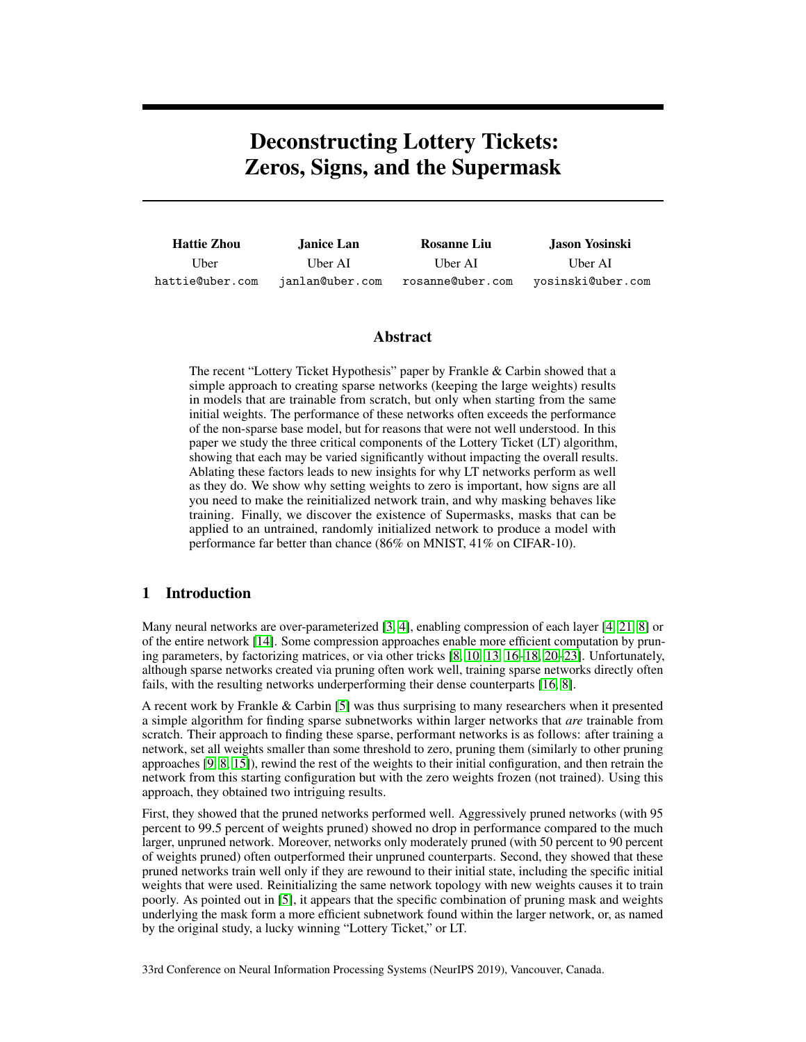# Deconstructing Lottery Tickets: Zeros, Signs, and the Supermask

| <b>Hattie Zhou</b> | <b>Janice Lan</b> | <b>Rosanne Liu</b> | Jason Yosinski    |  |
|--------------------|-------------------|--------------------|-------------------|--|
| Uber:              | Uber AI           | Uber AI            | Uber AI           |  |
| hattie@uber.com    | janlan@uber.com   | rosanne@uber.com   | yosinski@uber.com |  |

#### Abstract

The recent "Lottery Ticket Hypothesis" paper by Frankle & Carbin showed that a simple approach to creating sparse networks (keeping the large weights) results in models that are trainable from scratch, but only when starting from the same initial weights. The performance of these networks often exceeds the performance of the non-sparse base model, but for reasons that were not well understood. In this paper we study the three critical components of the Lottery Ticket (LT) algorithm, showing that each may be varied significantly without impacting the overall results. Ablating these factors leads to new insights for why LT networks perform as well as they do. We show why setting weights to zero is important, how signs are all you need to make the reinitialized network train, and why masking behaves like training. Finally, we discover the existence of Supermasks, masks that can be applied to an untrained, randomly initialized network to produce a model with performance far better than chance (86% on MNIST, 41% on CIFAR-10).

# <span id="page-0-0"></span>1 Introduction

Many neural networks are over-parameterized [\[3,](#page-9-0) [4\]](#page-9-1), enabling compression of each layer [\[4,](#page-9-1) [21,](#page-10-0) [8\]](#page-9-2) or of the entire network [\[14\]](#page-9-3). Some compression approaches enable more efficient computation by pruning parameters, by factorizing matrices, or via other tricks [\[8,](#page-9-2) [10,](#page-9-4) [13,](#page-9-5) [16](#page-9-6)[–18,](#page-10-1) [20–](#page-10-2)[23\]](#page-10-3). Unfortunately, although sparse networks created via pruning often work well, training sparse networks directly often fails, with the resulting networks underperforming their dense counterparts [\[16,](#page-9-6) [8\]](#page-9-2).

A recent work by Frankle & Carbin [\[5\]](#page-9-7) was thus surprising to many researchers when it presented a simple algorithm for finding sparse subnetworks within larger networks that *are* trainable from scratch. Their approach to finding these sparse, performant networks is as follows: after training a network, set all weights smaller than some threshold to zero, pruning them (similarly to other pruning approaches [\[9,](#page-9-8) [8,](#page-9-2) [15\]](#page-9-9)), rewind the rest of the weights to their initial configuration, and then retrain the network from this starting configuration but with the zero weights frozen (not trained). Using this approach, they obtained two intriguing results.

First, they showed that the pruned networks performed well. Aggressively pruned networks (with 95 percent to 99.5 percent of weights pruned) showed no drop in performance compared to the much larger, unpruned network. Moreover, networks only moderately pruned (with 50 percent to 90 percent of weights pruned) often outperformed their unpruned counterparts. Second, they showed that these pruned networks train well only if they are rewound to their initial state, including the specific initial weights that were used. Reinitializing the same network topology with new weights causes it to train poorly. As pointed out in [\[5\]](#page-9-7), it appears that the specific combination of pruning mask and weights underlying the mask form a more efficient subnetwork found within the larger network, or, as named by the original study, a lucky winning "Lottery Ticket," or LT.

33rd Conference on Neural Information Processing Systems (NeurIPS 2019), Vancouver, Canada.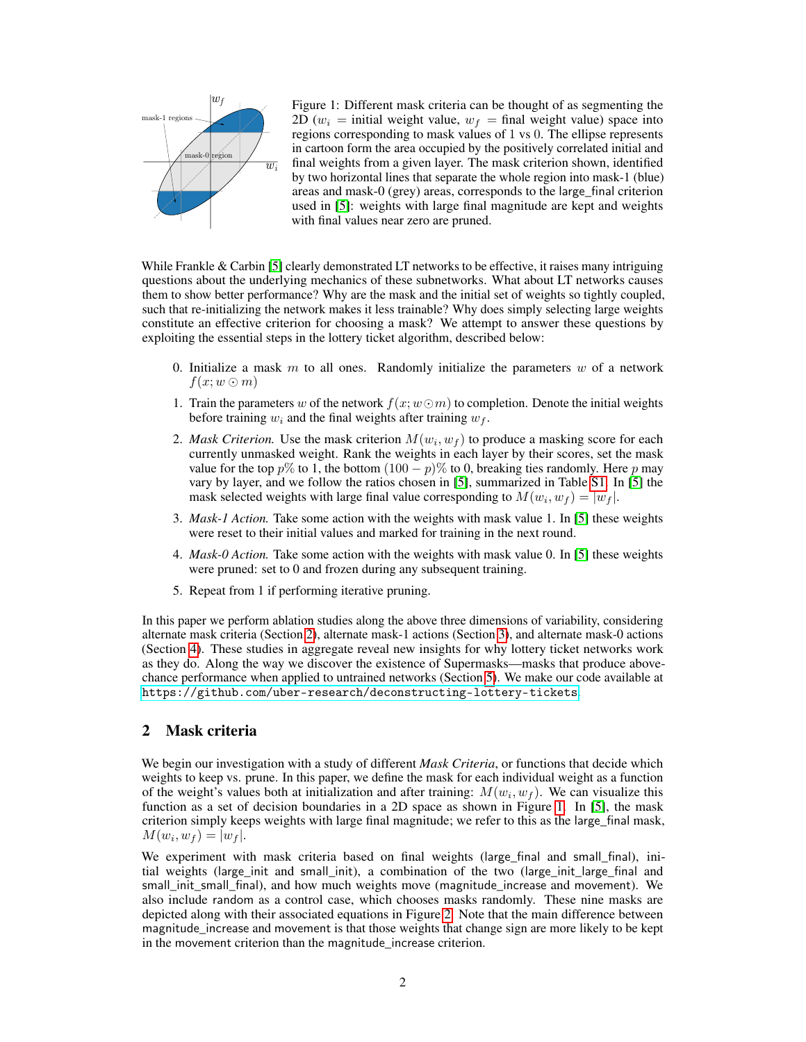

<span id="page-1-1"></span>Figure 1: Different mask criteria can be thought of as segmenting the 2D ( $w_i$  = initial weight value,  $w_f$  = final weight value) space into regions corresponding to mask values of 1 vs 0. The ellipse represents in cartoon form the area occupied by the positively correlated initial and final weights from a given layer. The mask criterion shown, identified by two horizontal lines that separate the whole region into mask-1 (blue) areas and mask-0 (grey) areas, corresponds to the large\_final criterion used in [\[5\]](#page-9-7): weights with large final magnitude are kept and weights with final values near zero are pruned.

While Frankle & Carbin [\[5\]](#page-9-7) clearly demonstrated LT networks to be effective, it raises many intriguing questions about the underlying mechanics of these subnetworks. What about LT networks causes them to show better performance? Why are the mask and the initial set of weights so tightly coupled, such that re-initializing the network makes it less trainable? Why does simply selecting large weights constitute an effective criterion for choosing a mask? We attempt to answer these questions by exploiting the essential steps in the lottery ticket algorithm, described below:

- 0. Initialize a mask  $m$  to all ones. Randomly initialize the parameters  $w$  of a network  $f(x; w \odot m)$
- 1. Train the parameters w of the network  $f(x; w \odot m)$  to completion. Denote the initial weights before training  $w_i$  and the final weights after training  $w_f$ .
- 2. *Mask Criterion*. Use the mask criterion  $M(w_i, w_f)$  to produce a masking score for each currently unmasked weight. Rank the weights in each layer by their scores, set the mask value for the top  $p\%$  to 1, the bottom  $(100 - p)\%$  to 0, breaking ties randomly. Here p may vary by layer, and we follow the ratios chosen in [\[5\]](#page-9-7), summarized in Table [S1.](#page-8-0) In [\[5\]](#page-9-7) the mask selected weights with large final value corresponding to  $M(w_i, w_f) = |w_f|$ .
- 3. *Mask-1 Action.* Take some action with the weights with mask value 1. In [\[5\]](#page-9-7) these weights were reset to their initial values and marked for training in the next round.
- 4. *Mask-0 Action.* Take some action with the weights with mask value 0. In [\[5\]](#page-9-7) these weights were pruned: set to 0 and frozen during any subsequent training.
- 5. Repeat from 1 if performing iterative pruning.

In this paper we perform ablation studies along the above three dimensions of variability, considering alternate mask criteria (Section [2\)](#page-1-0), alternate mask-1 actions (Section [3\)](#page-3-0), and alternate mask-0 actions (Section [4\)](#page-3-1). These studies in aggregate reveal new insights for why lottery ticket networks work as they do. Along the way we discover the existence of Supermasks—masks that produce abovechance performance when applied to untrained networks (Section [5\)](#page-5-0). We make our code available at <https://github.com/uber-research/deconstructing-lottery-tickets>.

## <span id="page-1-0"></span>2 Mask criteria

We begin our investigation with a study of different *Mask Criteria*, or functions that decide which weights to keep vs. prune. In this paper, we define the mask for each individual weight as a function of the weight's values both at initialization and after training:  $M(w_i, w_f)$ . We can visualize this function as a set of decision boundaries in a 2D space as shown in Figure [1.](#page-1-1) In [\[5\]](#page-9-7), the mask criterion simply keeps weights with large final magnitude; we refer to this as the large\_final mask,  $M(w_i, w_f) = |w_f|.$ 

We experiment with mask criteria based on final weights (large\_final and small\_final), initial weights (large init and small init), a combination of the two (large init large final and small init small final), and how much weights move (magnitude increase and movement). We also include random as a control case, which chooses masks randomly. These nine masks are depicted along with their associated equations in Figure [2.](#page-2-0) Note that the main difference between magnitude\_increase and movement is that those weights that change sign are more likely to be kept in the movement criterion than the magnitude increase criterion.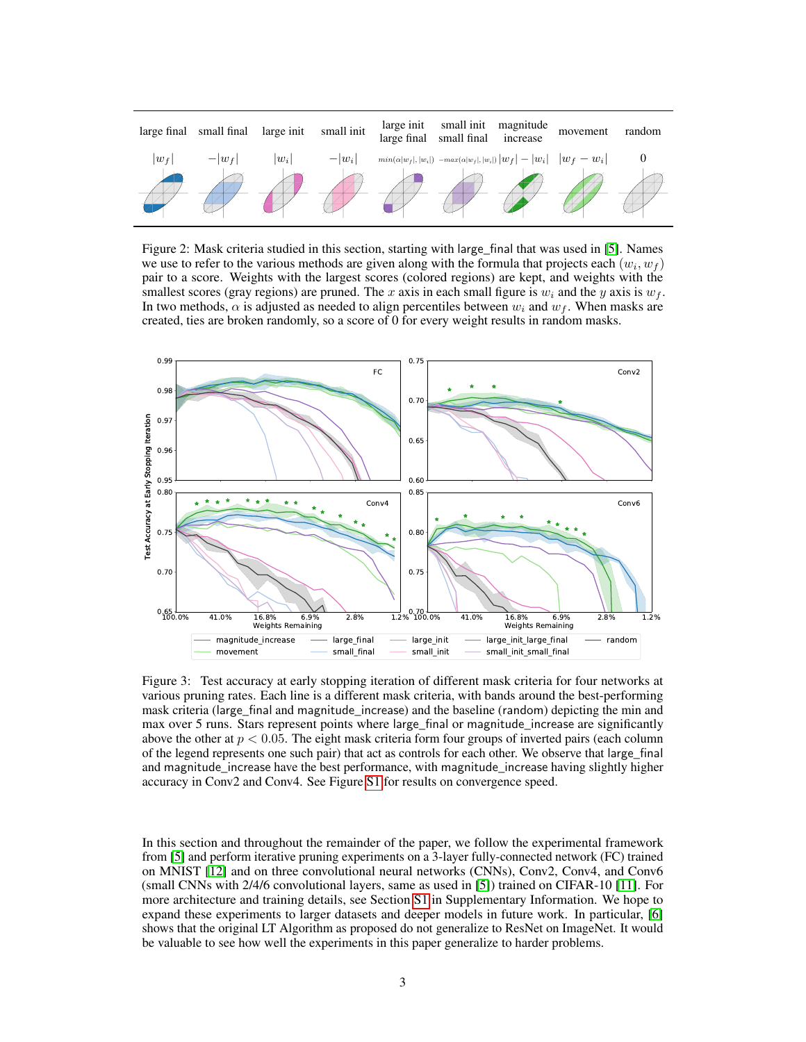

<span id="page-2-0"></span>Figure 2: Mask criteria studied in this section, starting with large\_final that was used in [\[5\]](#page-9-7). Names we use to refer to the various methods are given along with the formula that projects each  $(w_i, w_f)$ pair to a score. Weights with the largest scores (colored regions) are kept, and weights with the smallest scores (gray regions) are pruned. The x axis in each small figure is  $w_i$  and the y axis is  $w_f$ . In two methods,  $\alpha$  is adjusted as needed to align percentiles between  $w_i$  and  $w_f$ . When masks are created, ties are broken randomly, so a score of 0 for every weight results in random masks.



<span id="page-2-1"></span>Figure 3: Test accuracy at early stopping iteration of different mask criteria for four networks at various pruning rates. Each line is a different mask criteria, with bands around the best-performing mask criteria (large\_final and magnitude\_increase) and the baseline (random) depicting the min and max over 5 runs. Stars represent points where large\_final or magnitude\_increase are significantly above the other at  $p < 0.05$ . The eight mask criteria form four groups of inverted pairs (each column of the legend represents one such pair) that act as controls for each other. We observe that large\_final and magnitude\_increase have the best performance, with magnitude\_increase having slightly higher accuracy in Conv2 and Conv4. See Figure [S1](#page-1-1) for results on convergence speed.

In this section and throughout the remainder of the paper, we follow the experimental framework from [\[5\]](#page-9-7) and perform iterative pruning experiments on a 3-layer fully-connected network (FC) trained on MNIST [\[12\]](#page-9-10) and on three convolutional neural networks (CNNs), Conv2, Conv4, and Conv6 (small CNNs with 2/4/6 convolutional layers, same as used in [\[5\]](#page-9-7)) trained on CIFAR-10 [\[11\]](#page-9-11). For more architecture and training details, see Section [S1](#page-0-0) in Supplementary Information. We hope to expand these experiments to larger datasets and deeper models in future work. In particular, [\[6\]](#page-9-12) shows that the original LT Algorithm as proposed do not generalize to ResNet on ImageNet. It would be valuable to see how well the experiments in this paper generalize to harder problems.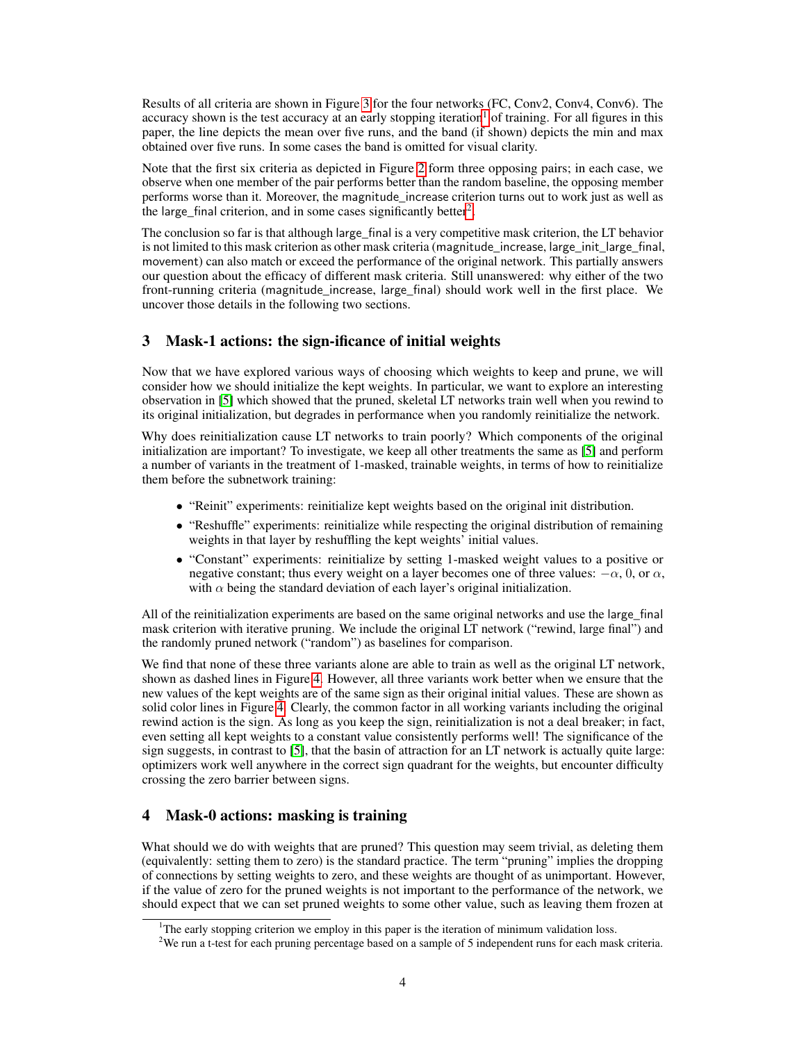Results of all criteria are shown in Figure [3](#page-2-1) for the four networks (FC, Conv2, Conv4, Conv6). The accuracy shown is the test accuracy at an early stopping iteration<sup>[1](#page-3-2)</sup> of training. For all figures in this paper, the line depicts the mean over five runs, and the band (if shown) depicts the min and max obtained over five runs. In some cases the band is omitted for visual clarity.

Note that the first six criteria as depicted in Figure [2](#page-2-0) form three opposing pairs; in each case, we observe when one member of the pair performs better than the random baseline, the opposing member performs worse than it. Moreover, the magnitude increase criterion turns out to work just as well as the large\_final criterion, and in some cases significantly better<sup>[2](#page-3-3)</sup>.

The conclusion so far is that although large\_final is a very competitive mask criterion, the LT behavior is not limited to this mask criterion as other mask criteria (magnitude\_increase, large\_init\_large\_final, movement) can also match or exceed the performance of the original network. This partially answers our question about the efficacy of different mask criteria. Still unanswered: why either of the two front-running criteria (magnitude\_increase, large\_final) should work well in the first place. We uncover those details in the following two sections.

# <span id="page-3-0"></span>3 Mask-1 actions: the sign-ificance of initial weights

Now that we have explored various ways of choosing which weights to keep and prune, we will consider how we should initialize the kept weights. In particular, we want to explore an interesting observation in [\[5\]](#page-9-7) which showed that the pruned, skeletal LT networks train well when you rewind to its original initialization, but degrades in performance when you randomly reinitialize the network.

Why does reinitialization cause LT networks to train poorly? Which components of the original initialization are important? To investigate, we keep all other treatments the same as [\[5\]](#page-9-7) and perform a number of variants in the treatment of 1-masked, trainable weights, in terms of how to reinitialize them before the subnetwork training:

- "Reinit" experiments: reinitialize kept weights based on the original init distribution.
- "Reshuffle" experiments: reinitialize while respecting the original distribution of remaining weights in that layer by reshuffling the kept weights' initial values.
- "Constant" experiments: reinitialize by setting 1-masked weight values to a positive or negative constant; thus every weight on a layer becomes one of three values:  $-\alpha$ , 0, or  $\alpha$ , with  $\alpha$  being the standard deviation of each layer's original initialization.

All of the reinitialization experiments are based on the same original networks and use the large\_final mask criterion with iterative pruning. We include the original LT network ("rewind, large final") and the randomly pruned network ("random") as baselines for comparison.

We find that none of these three variants alone are able to train as well as the original LT network, shown as dashed lines in Figure [4.](#page-4-0) However, all three variants work better when we ensure that the new values of the kept weights are of the same sign as their original initial values. These are shown as solid color lines in Figure [4.](#page-4-0) Clearly, the common factor in all working variants including the original rewind action is the sign. As long as you keep the sign, reinitialization is not a deal breaker; in fact, even setting all kept weights to a constant value consistently performs well! The significance of the sign suggests, in contrast to [\[5\]](#page-9-7), that the basin of attraction for an LT network is actually quite large: optimizers work well anywhere in the correct sign quadrant for the weights, but encounter difficulty crossing the zero barrier between signs.

# <span id="page-3-1"></span>4 Mask-0 actions: masking is training

What should we do with weights that are pruned? This question may seem trivial, as deleting them (equivalently: setting them to zero) is the standard practice. The term "pruning" implies the dropping of connections by setting weights to zero, and these weights are thought of as unimportant. However, if the value of zero for the pruned weights is not important to the performance of the network, we should expect that we can set pruned weights to some other value, such as leaving them frozen at

<span id="page-3-2"></span><sup>&</sup>lt;sup>1</sup>The early stopping criterion we employ in this paper is the iteration of minimum validation loss.

<span id="page-3-3"></span><sup>&</sup>lt;sup>2</sup>We run a t-test for each pruning percentage based on a sample of 5 independent runs for each mask criteria.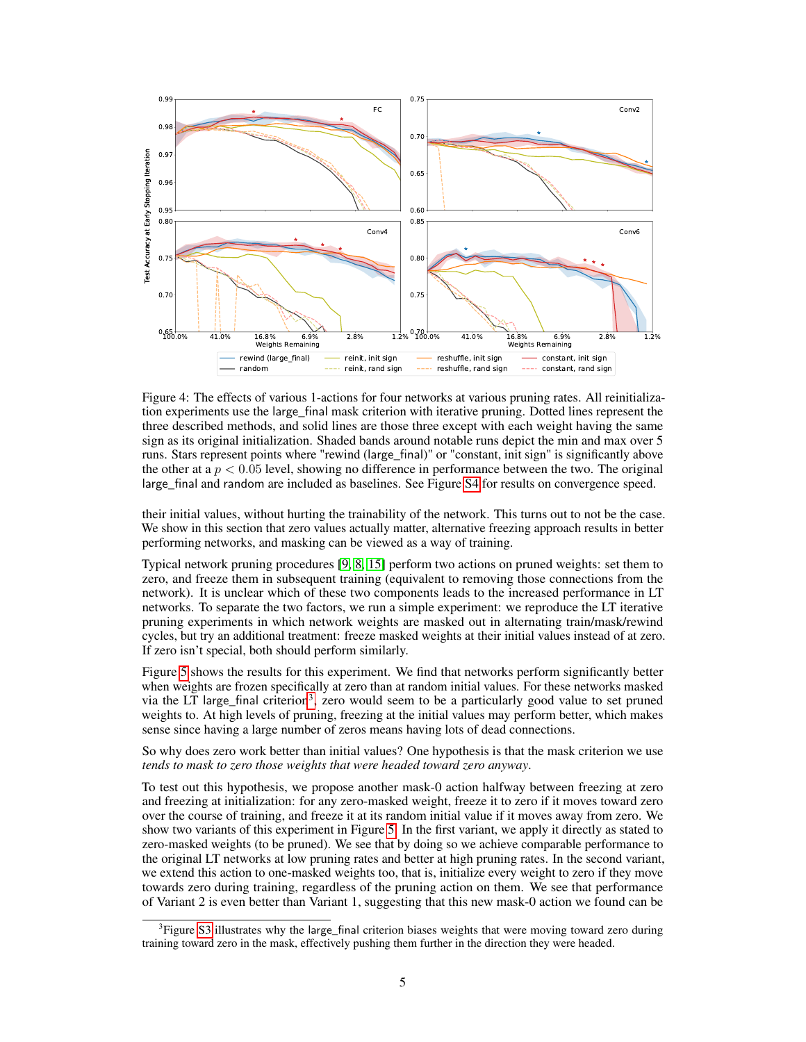

<span id="page-4-0"></span>Figure 4: The effects of various 1-actions for four networks at various pruning rates. All reinitialization experiments use the large\_final mask criterion with iterative pruning. Dotted lines represent the three described methods, and solid lines are those three except with each weight having the same sign as its original initialization. Shaded bands around notable runs depict the min and max over 5 runs. Stars represent points where "rewind (large final)" or "constant, init sign" is significantly above the other at a  $p < 0.05$  level, showing no difference in performance between the two. The original large\_final and random are included as baselines. See Figure [S4](#page-4-0) for results on convergence speed.

their initial values, without hurting the trainability of the network. This turns out to not be the case. We show in this section that zero values actually matter, alternative freezing approach results in better performing networks, and masking can be viewed as a way of training.

Typical network pruning procedures [\[9,](#page-9-8) [8,](#page-9-2) [15\]](#page-9-9) perform two actions on pruned weights: set them to zero, and freeze them in subsequent training (equivalent to removing those connections from the network). It is unclear which of these two components leads to the increased performance in LT networks. To separate the two factors, we run a simple experiment: we reproduce the LT iterative pruning experiments in which network weights are masked out in alternating train/mask/rewind cycles, but try an additional treatment: freeze masked weights at their initial values instead of at zero. If zero isn't special, both should perform similarly.

Figure [5](#page-5-1) shows the results for this experiment. We find that networks perform significantly better when weights are frozen specifically at zero than at random initial values. For these networks masked via the LT large\_final criterion<sup>[3](#page-4-1)</sup>, zero would seem to be a particularly good value to set pruned weights to. At high levels of pruning, freezing at the initial values may perform better, which makes sense since having a large number of zeros means having lots of dead connections.

So why does zero work better than initial values? One hypothesis is that the mask criterion we use *tends to mask to zero those weights that were headed toward zero anyway*.

To test out this hypothesis, we propose another mask-0 action halfway between freezing at zero and freezing at initialization: for any zero-masked weight, freeze it to zero if it moves toward zero over the course of training, and freeze it at its random initial value if it moves away from zero. We show two variants of this experiment in Figure [5.](#page-5-1) In the first variant, we apply it directly as stated to zero-masked weights (to be pruned). We see that by doing so we achieve comparable performance to the original LT networks at low pruning rates and better at high pruning rates. In the second variant, we extend this action to one-masked weights too, that is, initialize every weight to zero if they move towards zero during training, regardless of the pruning action on them. We see that performance of Variant 2 is even better than Variant 1, suggesting that this new mask-0 action we found can be

<span id="page-4-1"></span><sup>&</sup>lt;sup>3</sup>Figure [S3](#page-2-1) illustrates why the large\_final criterion biases weights that were moving toward zero during training toward zero in the mask, effectively pushing them further in the direction they were headed.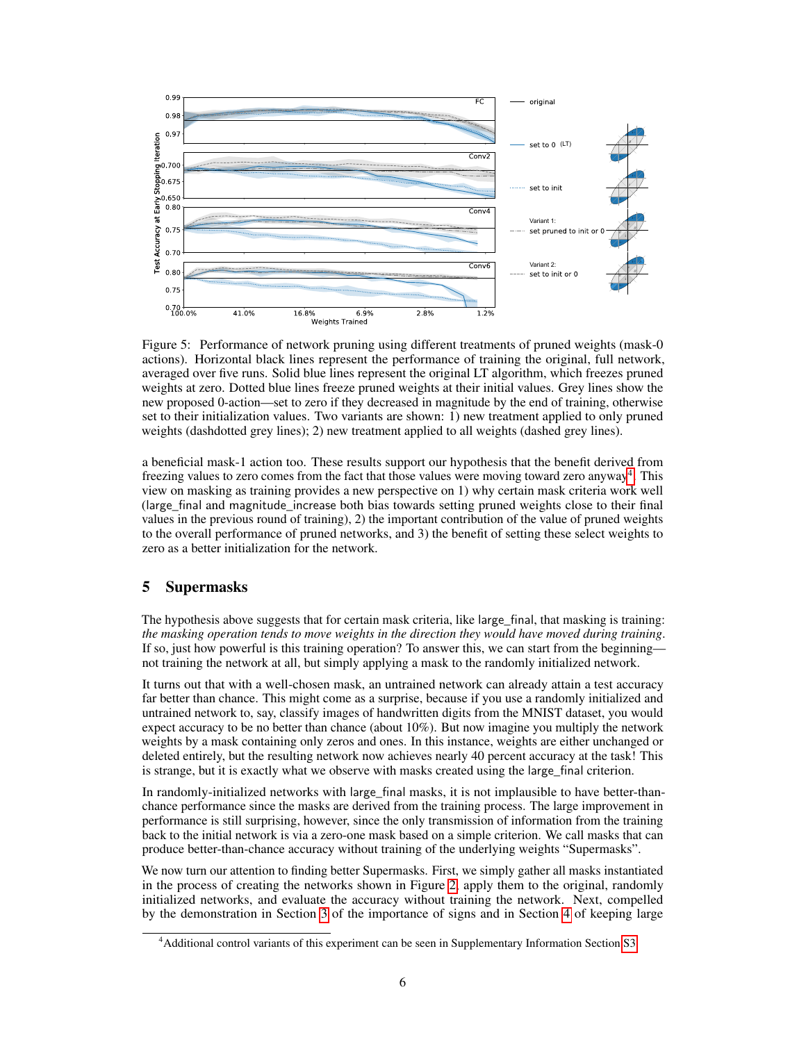

<span id="page-5-1"></span>Figure 5: Performance of network pruning using different treatments of pruned weights (mask-0 actions). Horizontal black lines represent the performance of training the original, full network, averaged over five runs. Solid blue lines represent the original LT algorithm, which freezes pruned weights at zero. Dotted blue lines freeze pruned weights at their initial values. Grey lines show the new proposed 0-action—set to zero if they decreased in magnitude by the end of training, otherwise set to their initialization values. Two variants are shown: 1) new treatment applied to only pruned weights (dashdotted grey lines); 2) new treatment applied to all weights (dashed grey lines).

a beneficial mask-1 action too. These results support our hypothesis that the benefit derived from freezing values to zero comes from the fact that those values were moving toward zero anyway<sup>[4](#page-5-2)</sup>. This view on masking as training provides a new perspective on 1) why certain mask criteria work well (large\_final and magnitude\_increase both bias towards setting pruned weights close to their final values in the previous round of training), 2) the important contribution of the value of pruned weights to the overall performance of pruned networks, and 3) the benefit of setting these select weights to zero as a better initialization for the network.

## <span id="page-5-0"></span>5 Supermasks

The hypothesis above suggests that for certain mask criteria, like large\_final, that masking is training: *the masking operation tends to move weights in the direction they would have moved during training*. If so, just how powerful is this training operation? To answer this, we can start from the beginning not training the network at all, but simply applying a mask to the randomly initialized network.

It turns out that with a well-chosen mask, an untrained network can already attain a test accuracy far better than chance. This might come as a surprise, because if you use a randomly initialized and untrained network to, say, classify images of handwritten digits from the MNIST dataset, you would expect accuracy to be no better than chance (about 10%). But now imagine you multiply the network weights by a mask containing only zeros and ones. In this instance, weights are either unchanged or deleted entirely, but the resulting network now achieves nearly 40 percent accuracy at the task! This is strange, but it is exactly what we observe with masks created using the large final criterion.

In randomly-initialized networks with large final masks, it is not implausible to have better-thanchance performance since the masks are derived from the training process. The large improvement in performance is still surprising, however, since the only transmission of information from the training back to the initial network is via a zero-one mask based on a simple criterion. We call masks that can produce better-than-chance accuracy without training of the underlying weights "Supermasks".

We now turn our attention to finding better Supermasks. First, we simply gather all masks instantiated in the process of creating the networks shown in Figure [2,](#page-2-0) apply them to the original, randomly initialized networks, and evaluate the accuracy without training the network. Next, compelled by the demonstration in Section [3](#page-3-0) of the importance of signs and in Section [4](#page-3-1) of keeping large

<span id="page-5-2"></span><sup>4</sup>Additional control variants of this experiment can be seen in Supplementary Information Section [S3.](#page-3-0)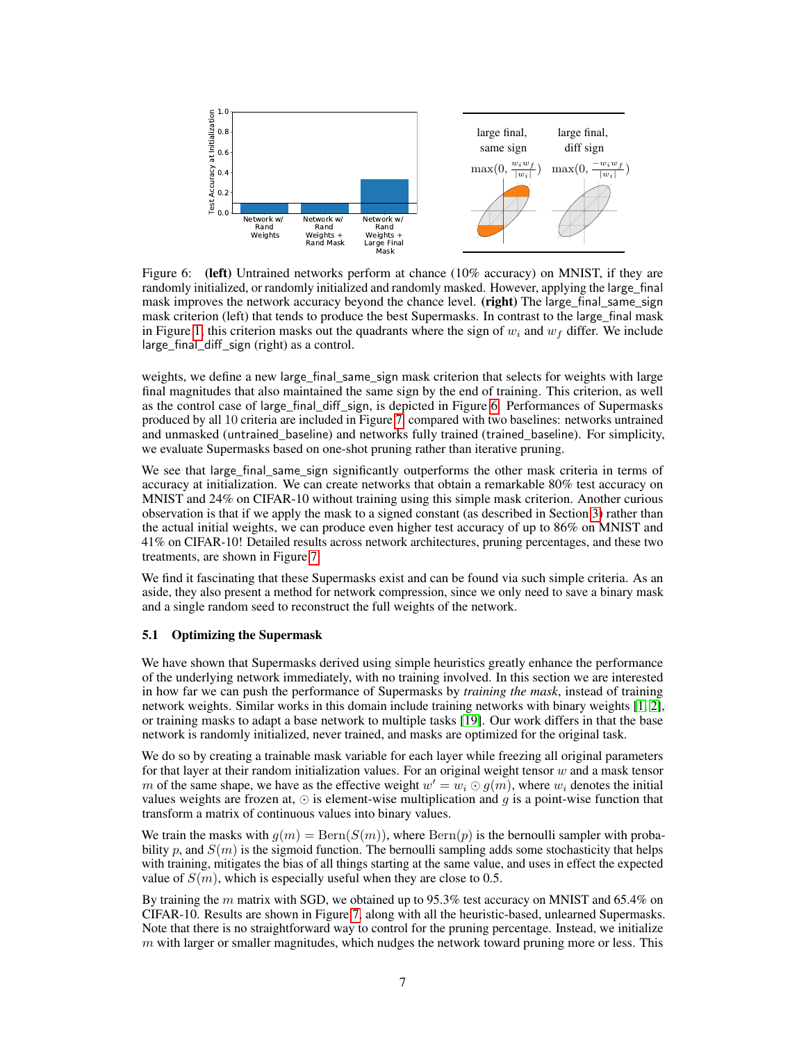<span id="page-6-0"></span>

Figure 6: (left) Untrained networks perform at chance (10% accuracy) on MNIST, if they are randomly initialized, or randomly initialized and randomly masked. However, applying the large final mask improves the network accuracy beyond the chance level. (right) The large\_final\_same\_sign mask criterion (left) that tends to produce the best Supermasks. In contrast to the large\_final mask in Figure [1,](#page-1-1) this criterion masks out the quadrants where the sign of  $w_i$  and  $w_f$  differ. We include large\_final\_diff\_sign (right) as a control.

weights, we define a new large\_final\_same\_sign mask criterion that selects for weights with large final magnitudes that also maintained the same sign by the end of training. This criterion, as well as the control case of large\_final\_diff\_sign, is depicted in Figure [6.](#page-6-0) Performances of Supermasks produced by all 10 criteria are included in Figure [7,](#page-7-0) compared with two baselines: networks untrained and unmasked (untrained\_baseline) and networks fully trained (trained\_baseline). For simplicity, we evaluate Supermasks based on one-shot pruning rather than iterative pruning.

We see that large\_final\_same\_sign significantly outperforms the other mask criteria in terms of accuracy at initialization. We can create networks that obtain a remarkable 80% test accuracy on MNIST and 24% on CIFAR-10 without training using this simple mask criterion. Another curious observation is that if we apply the mask to a signed constant (as described in Section [3\)](#page-3-0) rather than the actual initial weights, we can produce even higher test accuracy of up to 86% on MNIST and 41% on CIFAR-10! Detailed results across network architectures, pruning percentages, and these two treatments, are shown in Figure [7.](#page-7-0)

We find it fascinating that these Supermasks exist and can be found via such simple criteria. As an aside, they also present a method for network compression, since we only need to save a binary mask and a single random seed to reconstruct the full weights of the network.

#### 5.1 Optimizing the Supermask

We have shown that Supermasks derived using simple heuristics greatly enhance the performance of the underlying network immediately, with no training involved. In this section we are interested in how far we can push the performance of Supermasks by *training the mask*, instead of training network weights. Similar works in this domain include training networks with binary weights [\[1,](#page-9-13) [2\]](#page-9-14), or training masks to adapt a base network to multiple tasks [\[19\]](#page-10-4). Our work differs in that the base network is randomly initialized, never trained, and masks are optimized for the original task.

We do so by creating a trainable mask variable for each layer while freezing all original parameters for that layer at their random initialization values. For an original weight tensor  $w$  and a mask tensor m of the same shape, we have as the effective weight  $w' = w_i \odot g(m)$ , where  $w_i$  denotes the initial values weights are frozen at,  $\odot$  is element-wise multiplication and g is a point-wise function that transform a matrix of continuous values into binary values.

We train the masks with  $g(m) = \text{Bern}(S(m))$ , where  $\text{Bern}(p)$  is the bernoulli sampler with probability p, and  $S(m)$  is the sigmoid function. The bernoulli sampling adds some stochasticity that helps with training, mitigates the bias of all things starting at the same value, and uses in effect the expected value of  $S(m)$ , which is especially useful when they are close to 0.5.

By training the m matrix with SGD, we obtained up to 95.3% test accuracy on MNIST and 65.4% on CIFAR-10. Results are shown in Figure [7,](#page-7-0) along with all the heuristic-based, unlearned Supermasks. Note that there is no straightforward way to control for the pruning percentage. Instead, we initialize  $m$  with larger or smaller magnitudes, which nudges the network toward pruning more or less. This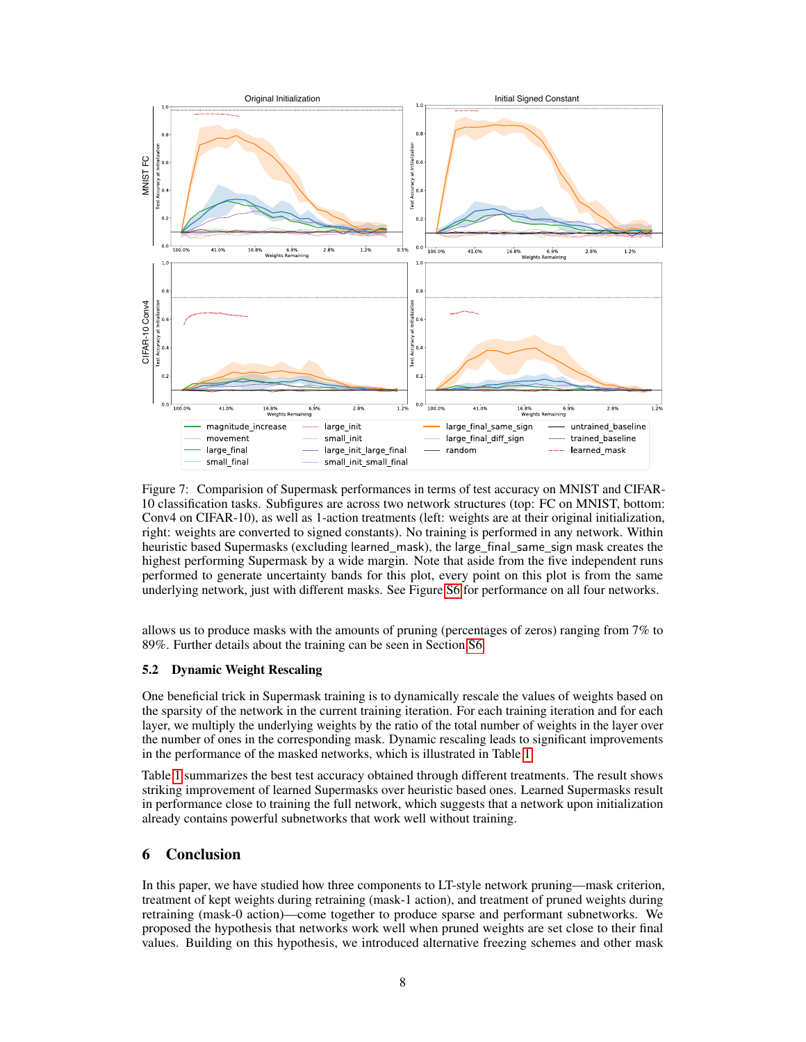

<span id="page-7-0"></span>Figure 7: Comparision of Supermask performances in terms of test accuracy on MNIST and CIFAR-10 classification tasks. Subfigures are across two network structures (top: FC on MNIST, bottom: Conv4 on CIFAR-10), as well as 1-action treatments (left: weights are at their original initialization, right: weights are converted to signed constants). No training is performed in any network. Within heuristic based Supermasks (excluding learned\_mask), the large\_final\_same\_sign mask creates the highest performing Supermask by a wide margin. Note that aside from the five independent runs performed to generate uncertainty bands for this plot, every point on this plot is from the same underlying network, just with different masks. See Figure [S6](#page-6-0) for performance on all four networks.

allows us to produce masks with the amounts of pruning (percentages of zeros) ranging from 7% to 89%. Further details about the training can be seen in Section [S6.](#page-7-1)

#### 5.2 Dynamic Weight Rescaling

One beneficial trick in Supermask training is to dynamically rescale the values of weights based on the sparsity of the network in the current training iteration. For each training iteration and for each layer, we multiply the underlying weights by the ratio of the total number of weights in the layer over the number of ones in the corresponding mask. Dynamic rescaling leads to significant improvements in the performance of the masked networks, which is illustrated in Table [1.](#page-8-0)

Table [1](#page-8-0) summarizes the best test accuracy obtained through different treatments. The result shows striking improvement of learned Supermasks over heuristic based ones. Learned Supermasks result in performance close to training the full network, which suggests that a network upon initialization already contains powerful subnetworks that work well without training.

## <span id="page-7-1"></span>6 Conclusion

In this paper, we have studied how three components to LT-style network pruning—mask criterion, treatment of kept weights during retraining (mask-1 action), and treatment of pruned weights during retraining (mask-0 action)—come together to produce sparse and performant subnetworks. We proposed the hypothesis that networks work well when pruned weights are set close to their final values. Building on this hypothesis, we introduced alternative freezing schemes and other mask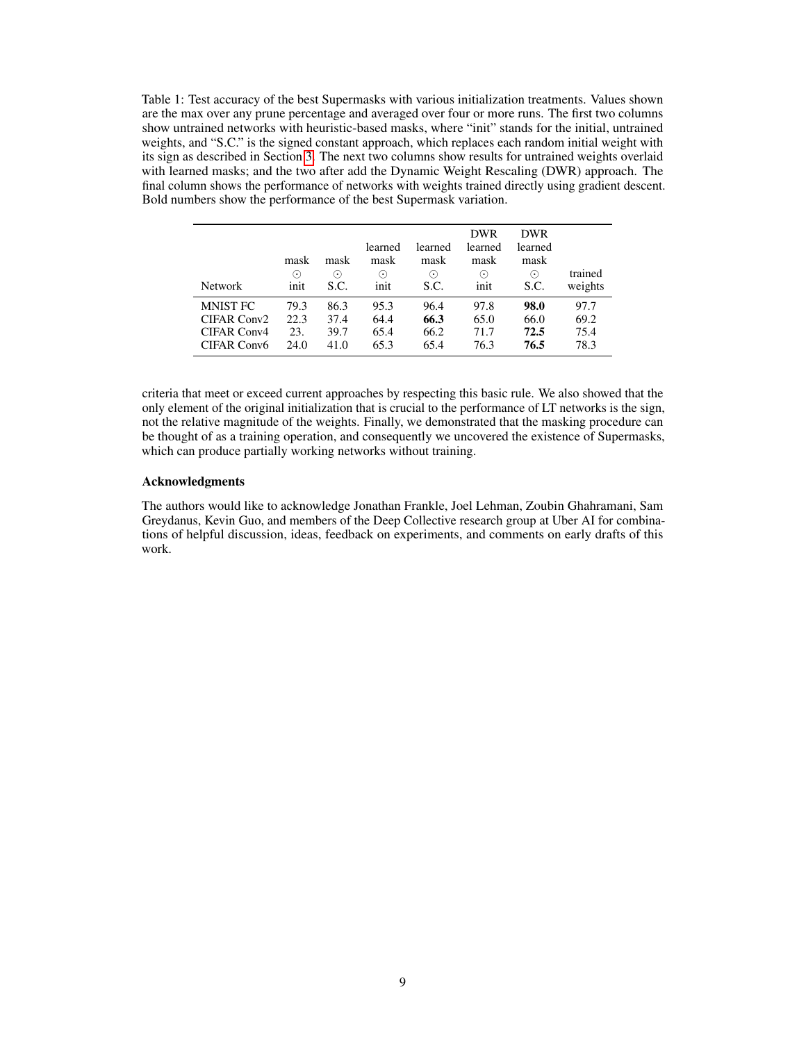<span id="page-8-0"></span>Table 1: Test accuracy of the best Supermasks with various initialization treatments. Values shown are the max over any prune percentage and averaged over four or more runs. The first two columns show untrained networks with heuristic-based masks, where "init" stands for the initial, untrained weights, and "S.C." is the signed constant approach, which replaces each random initial weight with its sign as described in Section [3.](#page-3-0) The next two columns show results for untrained weights overlaid with learned masks; and the two after add the Dynamic Weight Rescaling (DWR) approach. The final column shows the performance of networks with weights trained directly using gradient descent. Bold numbers show the performance of the best Supermask variation.

| <b>Network</b>                                | mask<br>$(\bm{\cdot})$<br>init | mask<br>$(\bm{\cdot})$<br>S.C. | learned<br>mask<br>$(\bm{\cdot})$<br>init | learned<br>mask<br>$(\bm{\cdot})$<br>S.C. | <b>DWR</b><br>learned<br>mask<br>$(\bm{\cdot})$<br>init | <b>DWR</b><br>learned<br>mask<br>$(\boldsymbol{\cdot})$<br>S.C. | trained<br>weights   |
|-----------------------------------------------|--------------------------------|--------------------------------|-------------------------------------------|-------------------------------------------|---------------------------------------------------------|-----------------------------------------------------------------|----------------------|
| <b>MNIST FC</b><br>CIFAR Conv2<br>CIFAR Conv4 | 79.3<br>22.3<br>23.            | 86.3<br>37.4<br>39.7           | 95.3<br>64.4<br>65.4                      | 96.4<br>66.3<br>66.2                      | 97.8<br>65.0<br>71.7                                    | 98.0<br>66.0<br>72.5                                            | 97.7<br>69.2<br>75.4 |
| CIFAR Conv6                                   | 24.0                           | 41.0                           | 65.3                                      | 65.4                                      | 76.3                                                    | 76.5                                                            | 78.3                 |

criteria that meet or exceed current approaches by respecting this basic rule. We also showed that the only element of the original initialization that is crucial to the performance of LT networks is the sign, not the relative magnitude of the weights. Finally, we demonstrated that the masking procedure can be thought of as a training operation, and consequently we uncovered the existence of Supermasks, which can produce partially working networks without training.

#### Acknowledgments

The authors would like to acknowledge Jonathan Frankle, Joel Lehman, Zoubin Ghahramani, Sam Greydanus, Kevin Guo, and members of the Deep Collective research group at Uber AI for combinations of helpful discussion, ideas, feedback on experiments, and comments on early drafts of this work.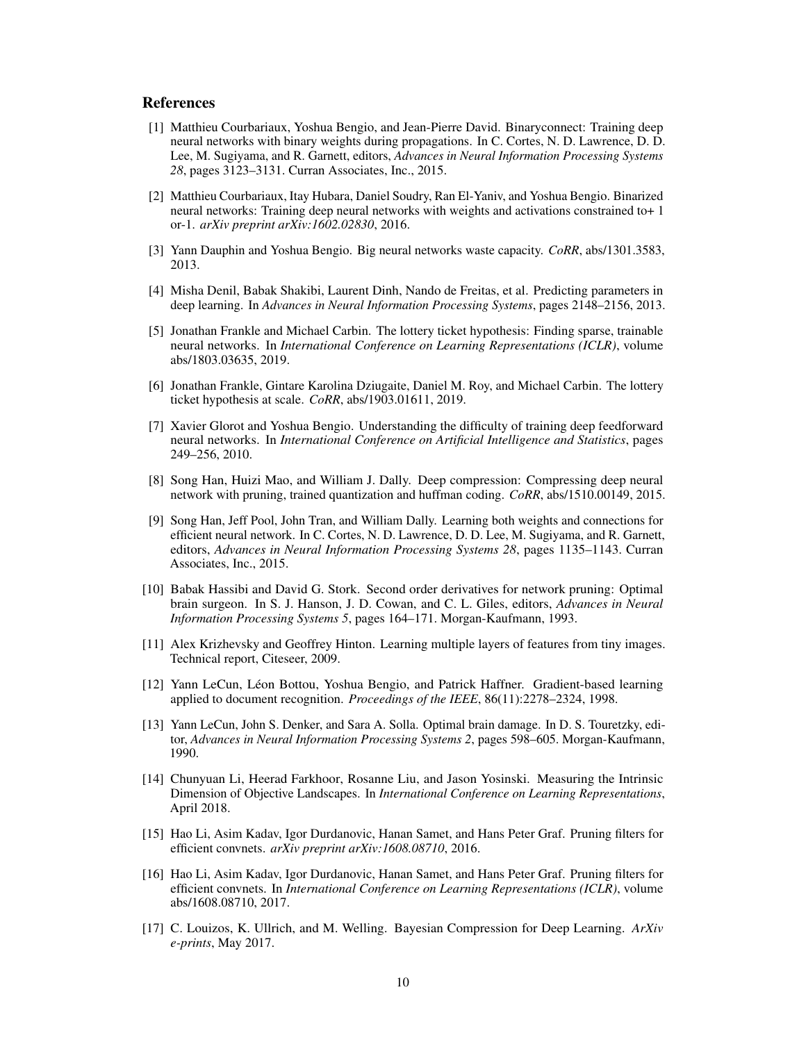## **References**

- <span id="page-9-13"></span>[1] Matthieu Courbariaux, Yoshua Bengio, and Jean-Pierre David. Binaryconnect: Training deep neural networks with binary weights during propagations. In C. Cortes, N. D. Lawrence, D. D. Lee, M. Sugiyama, and R. Garnett, editors, *Advances in Neural Information Processing Systems 28*, pages 3123–3131. Curran Associates, Inc., 2015.
- <span id="page-9-14"></span>[2] Matthieu Courbariaux, Itay Hubara, Daniel Soudry, Ran El-Yaniv, and Yoshua Bengio. Binarized neural networks: Training deep neural networks with weights and activations constrained to+ 1 or-1. *arXiv preprint arXiv:1602.02830*, 2016.
- <span id="page-9-0"></span>[3] Yann Dauphin and Yoshua Bengio. Big neural networks waste capacity. *CoRR*, abs/1301.3583, 2013.
- <span id="page-9-1"></span>[4] Misha Denil, Babak Shakibi, Laurent Dinh, Nando de Freitas, et al. Predicting parameters in deep learning. In *Advances in Neural Information Processing Systems*, pages 2148–2156, 2013.
- <span id="page-9-7"></span>[5] Jonathan Frankle and Michael Carbin. The lottery ticket hypothesis: Finding sparse, trainable neural networks. In *International Conference on Learning Representations (ICLR)*, volume abs/1803.03635, 2019.
- <span id="page-9-12"></span>[6] Jonathan Frankle, Gintare Karolina Dziugaite, Daniel M. Roy, and Michael Carbin. The lottery ticket hypothesis at scale. *CoRR*, abs/1903.01611, 2019.
- [7] Xavier Glorot and Yoshua Bengio. Understanding the difficulty of training deep feedforward neural networks. In *International Conference on Artificial Intelligence and Statistics*, pages 249–256, 2010.
- <span id="page-9-2"></span>[8] Song Han, Huizi Mao, and William J. Dally. Deep compression: Compressing deep neural network with pruning, trained quantization and huffman coding. *CoRR*, abs/1510.00149, 2015.
- <span id="page-9-8"></span>[9] Song Han, Jeff Pool, John Tran, and William Dally. Learning both weights and connections for efficient neural network. In C. Cortes, N. D. Lawrence, D. D. Lee, M. Sugiyama, and R. Garnett, editors, *Advances in Neural Information Processing Systems 28*, pages 1135–1143. Curran Associates, Inc., 2015.
- <span id="page-9-4"></span>[10] Babak Hassibi and David G. Stork. Second order derivatives for network pruning: Optimal brain surgeon. In S. J. Hanson, J. D. Cowan, and C. L. Giles, editors, *Advances in Neural Information Processing Systems 5*, pages 164–171. Morgan-Kaufmann, 1993.
- <span id="page-9-11"></span>[11] Alex Krizhevsky and Geoffrey Hinton. Learning multiple layers of features from tiny images. Technical report, Citeseer, 2009.
- <span id="page-9-10"></span>[12] Yann LeCun, Léon Bottou, Yoshua Bengio, and Patrick Haffner. Gradient-based learning applied to document recognition. *Proceedings of the IEEE*, 86(11):2278–2324, 1998.
- <span id="page-9-5"></span>[13] Yann LeCun, John S. Denker, and Sara A. Solla. Optimal brain damage. In D. S. Touretzky, editor, *Advances in Neural Information Processing Systems 2*, pages 598–605. Morgan-Kaufmann, 1990.
- <span id="page-9-3"></span>[14] Chunyuan Li, Heerad Farkhoor, Rosanne Liu, and Jason Yosinski. Measuring the Intrinsic Dimension of Objective Landscapes. In *International Conference on Learning Representations*, April 2018.
- <span id="page-9-9"></span>[15] Hao Li, Asim Kadav, Igor Durdanovic, Hanan Samet, and Hans Peter Graf. Pruning filters for efficient convnets. *arXiv preprint arXiv:1608.08710*, 2016.
- <span id="page-9-6"></span>[16] Hao Li, Asim Kadav, Igor Durdanovic, Hanan Samet, and Hans Peter Graf. Pruning filters for efficient convnets. In *International Conference on Learning Representations (ICLR)*, volume abs/1608.08710, 2017.
- [17] C. Louizos, K. Ullrich, and M. Welling. Bayesian Compression for Deep Learning. *ArXiv e-prints*, May 2017.